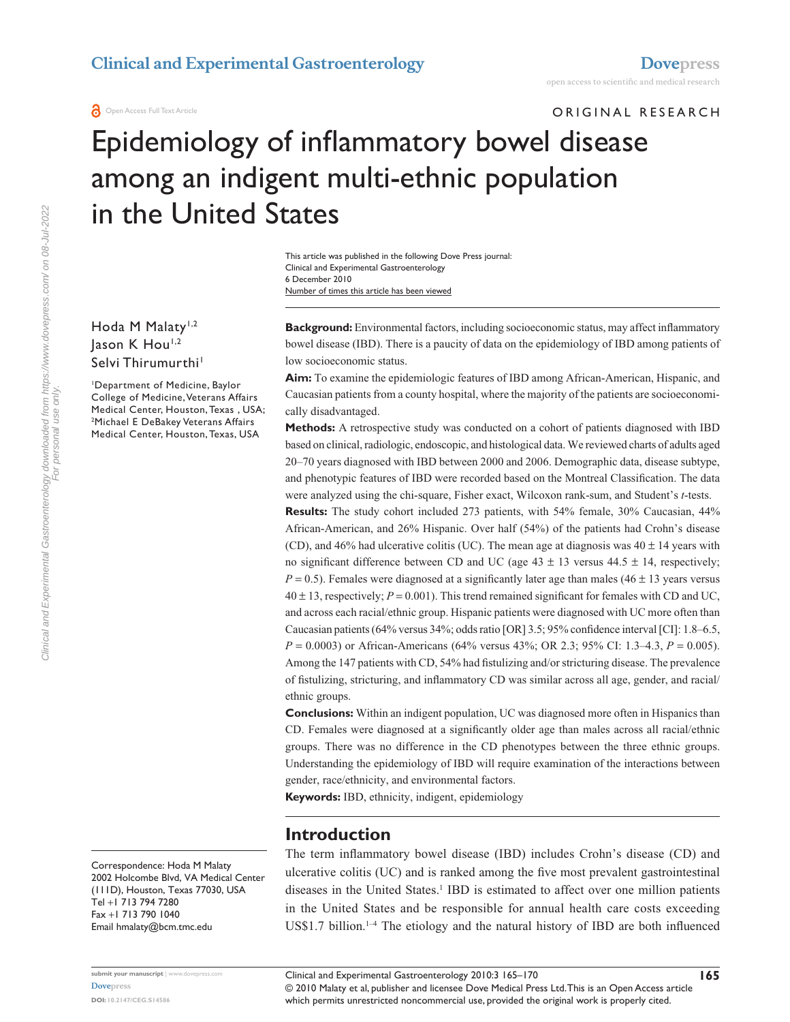**a** Open Access Full Text Article

ORIGINAL RESEARCH

# Epidemiology of inflammatory bowel disease among an indigent multi-ethnic population in the United States

Number of times this article has been viewed This article was published in the following Dove Press journal: Clinical and Experimental Gastroenterology 6 December 2010

Hoda M Malaty<sup>1,2</sup> lason K Hou<sup>1,2</sup> Selvi Thirumurthi<sup>1</sup>

1 Department of Medicine, Baylor College of Medicine, Veterans Affairs Medical Center, Houston, Texas , USA; 2 Michael E DeBakey Veterans Affairs Medical Center, Houston, Texas, USA

**Background:** Environmental factors, including socioeconomic status, may affect inflammatory bowel disease (IBD). There is a paucity of data on the epidemiology of IBD among patients of low socioeconomic status.

**Aim:** To examine the epidemiologic features of IBD among African-American, Hispanic, and Caucasian patients from a county hospital, where the majority of the patients are socioeconomically disadvantaged.

**Methods:** A retrospective study was conducted on a cohort of patients diagnosed with IBD based on clinical, radiologic, endoscopic, and histological data. We reviewed charts of adults aged 20–70 years diagnosed with IBD between 2000 and 2006. Demographic data, disease subtype, and phenotypic features of IBD were recorded based on the Montreal Classification. The data were analyzed using the chi-square, Fisher exact, Wilcoxon rank-sum, and Student's *t*-tests.

**Results:** The study cohort included 273 patients, with 54% female, 30% Caucasian, 44% African-American, and 26% Hispanic. Over half (54%) of the patients had Crohn's disease (CD), and 46% had ulcerative colitis (UC). The mean age at diagnosis was  $40 \pm 14$  years with no significant difference between CD and UC (age  $43 \pm 13$  versus  $44.5 \pm 14$ , respectively;  $P = 0.5$ ). Females were diagnosed at a significantly later age than males (46  $\pm$  13 years versus  $40 \pm 13$ , respectively;  $P = 0.001$ ). This trend remained significant for females with CD and UC, and across each racial/ethnic group. Hispanic patients were diagnosed with UC more often than Caucasian patients (64% versus 34%; odds ratio [OR] 3.5; 95% confidence interval [CI]: 1.8–6.5, *P* = 0.0003) or African-Americans (64% versus 43%; OR 2.3; 95% CI: 1.3–4.3, *P* = 0.005). Among the 147 patients with CD, 54% had fistulizing and/or stricturing disease. The prevalence of fistulizing, stricturing, and inflammatory CD was similar across all age, gender, and racial/ ethnic groups.

**Conclusions:** Within an indigent population, UC was diagnosed more often in Hispanics than CD. Females were diagnosed at a significantly older age than males across all racial/ethnic groups. There was no difference in the CD phenotypes between the three ethnic groups. Understanding the epidemiology of IBD will require examination of the interactions between gender, race/ethnicity, and environmental factors.

**Keywords:** IBD, ethnicity, indigent, epidemiology

## **Introduction**

The term inflammatory bowel disease (IBD) includes Crohn's disease (CD) and ulcerative colitis (UC) and is ranked among the five most prevalent gastrointestinal diseases in the United States.<sup>1</sup> IBD is estimated to affect over one million patients in the United States and be responsible for annual health care costs exceeding US\$1.7 billion. $1-4$  The etiology and the natural history of IBD are both influenced

Correspondence: Hoda M Malaty 2002 Holcombe Blvd, VA Medical Center (111D), Houston, Texas 77030, USA Tel +1 713 794 7280 Fax +1 713 790 1040 Email [hmalaty@bcm.tmc.edu](mailto:hmalaty@bcm.tmc.edu)

submit your manuscript | <www.dovepress.com> **[Dovepress](www.dovepress.com) DOI: 10.2147/CEG.S14586**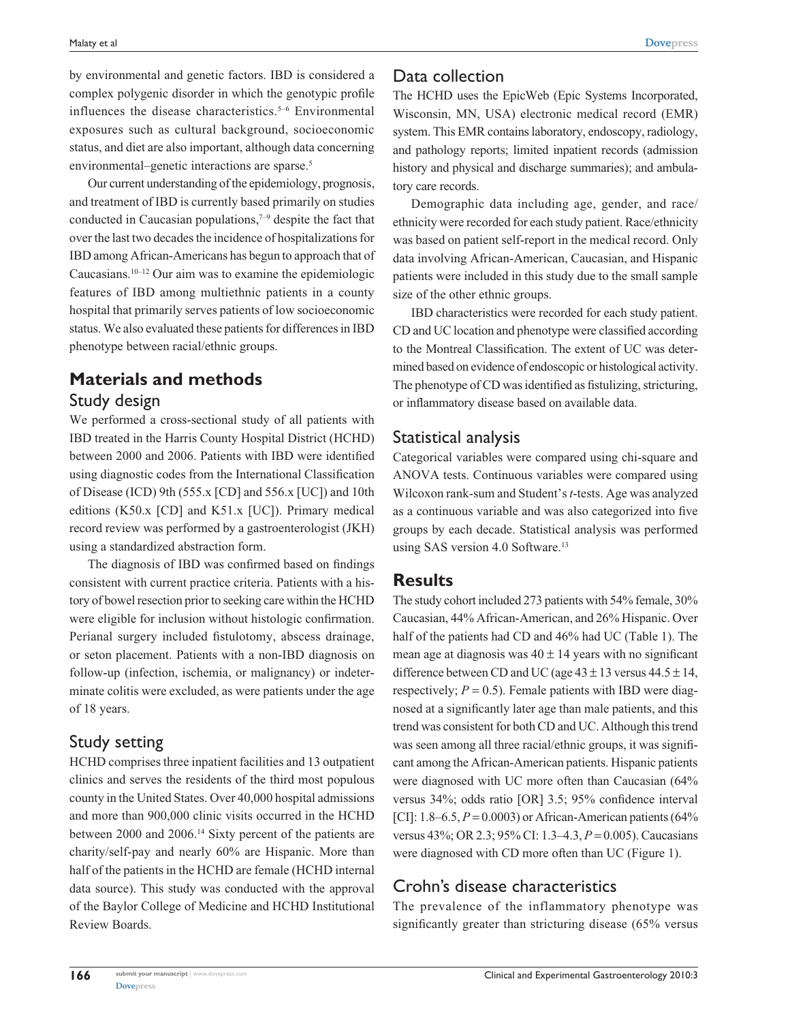by environmental and genetic factors. IBD is considered a complex polygenic disorder in which the genotypic profile influences the disease characteristics.<sup>5-6</sup> Environmental exposures such as cultural background, socioeconomic status, and diet are also important, although data concerning environmental–genetic interactions are sparse.<sup>5</sup>

Our current understanding of the epidemiology, prognosis, and treatment of IBD is currently based primarily on studies conducted in Caucasian populations,<sup>7-9</sup> despite the fact that over the last two decades the incidence of hospitalizations for IBD among African-Americans has begun to approach that of Caucasians.<sup>10–12</sup> Our aim was to examine the epidemiologic features of IBD among multiethnic patients in a county hospital that primarily serves patients of low socioeconomic status. We also evaluated these patients for differences in IBD phenotype between racial/ethnic groups.

# **Materials and methods**

## Study design

We performed a cross-sectional study of all patients with IBD treated in the Harris County Hospital District (HCHD) between 2000 and 2006. Patients with IBD were identified using diagnostic codes from the International Classification of Disease (ICD) 9th (555.x [CD] and 556.x [UC]) and 10th editions (K50.x [CD] and K51.x [UC]). Primary medical record review was performed by a gastroenterologist (JKH) using a standardized abstraction form.

The diagnosis of IBD was confirmed based on findings consistent with current practice criteria. Patients with a history of bowel resection prior to seeking care within the HCHD were eligible for inclusion without histologic confirmation. Perianal surgery included fistulotomy, abscess drainage, or seton placement. Patients with a non-IBD diagnosis on follow-up (infection, ischemia, or malignancy) or indeterminate colitis were excluded, as were patients under the age of 18 years.

# Study setting

HCHD comprises three inpatient facilities and 13 outpatient clinics and serves the residents of the third most populous county in the United States. Over 40,000 hospital admissions and more than 900,000 clinic visits occurred in the HCHD between 2000 and 2006.14 Sixty percent of the patients are charity/self-pay and nearly 60% are Hispanic. More than half of the patients in the HCHD are female (HCHD internal data source). This study was conducted with the approval of the Baylor College of Medicine and HCHD Institutional Review Boards.

# Data collection

The HCHD uses the EpicWeb (Epic Systems Incorporated, Wisconsin, MN, USA) electronic medical record (EMR) system. This EMR contains laboratory, endoscopy, radiology, and pathology reports; limited inpatient records (admission history and physical and discharge summaries); and ambulatory care records.

Demographic data including age, gender, and race/ ethnicity were recorded for each study patient. Race/ethnicity was based on patient self-report in the medical record. Only data involving African-American, Caucasian, and Hispanic patients were included in this study due to the small sample size of the other ethnic groups.

IBD characteristics were recorded for each study patient. CD and UC location and phenotype were classified according to the Montreal Classification. The extent of UC was determined based on evidence of endoscopic or histological activity. The phenotype of CD was identified as fistulizing, stricturing, or inflammatory disease based on available data.

# Statistical analysis

Categorical variables were compared using chi-square and ANOVA tests. Continuous variables were compared using Wilcoxon rank-sum and Student's *t*-tests. Age was analyzed as a continuous variable and was also categorized into five groups by each decade. Statistical analysis was performed using SAS version 4.0 Software.<sup>13</sup>

# **Results**

The study cohort included 273 patients with 54% female, 30% Caucasian, 44% African-American, and 26% Hispanic. Over half of the patients had CD and 46% had UC (Table 1). The mean age at diagnosis was  $40 \pm 14$  years with no significant difference between CD and UC (age  $43 \pm 13$  versus  $44.5 \pm 14$ , respectively;  $P = 0.5$ ). Female patients with IBD were diagnosed at a significantly later age than male patients, and this trend was consistent for both CD and UC. Although this trend was seen among all three racial/ethnic groups, it was significant among the African-American patients. Hispanic patients were diagnosed with UC more often than Caucasian (64% versus 34%; odds ratio [OR] 3.5; 95% confidence interval [CI]: 1.8–6.5, *P* = 0.0003) or African-American patients (64% versus 43%; OR 2.3; 95% CI: 1.3–4.3, *P* = 0.005). Caucasians were diagnosed with CD more often than UC (Figure 1).

# Crohn's disease characteristics

The prevalence of the inflammatory phenotype was significantly greater than stricturing disease (65% versus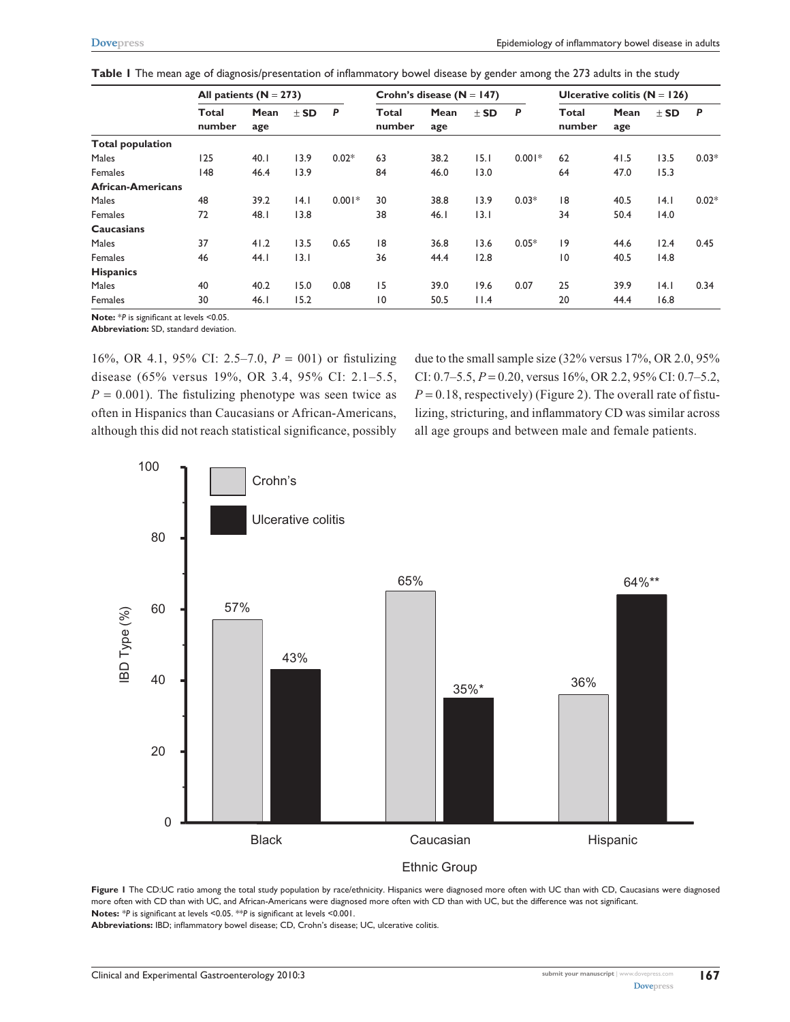|  |  |  | Table I The mean age of diagnosis/presentation of inflammatory bowel disease by gender among the 273 adults in the study |
|--|--|--|--------------------------------------------------------------------------------------------------------------------------|
|--|--|--|--------------------------------------------------------------------------------------------------------------------------|

|                          | All patients $(N = 273)$ |      |          |          | Crohn's disease $(N = 147)$ |      |          | Ulcerative colitis $(N = 126)$ |        |      |          |         |
|--------------------------|--------------------------|------|----------|----------|-----------------------------|------|----------|--------------------------------|--------|------|----------|---------|
|                          | <b>Total</b>             | Mean | $\pm$ SD | P        | Total                       | Mean | $\pm$ SD | P                              | Total  | Mean | $\pm$ SD | P       |
|                          | number                   | age  |          |          | number                      | age  |          |                                | number | age  |          |         |
| <b>Total population</b>  |                          |      |          |          |                             |      |          |                                |        |      |          |         |
| Males                    | 125                      | 40.1 | 13.9     | $0.02*$  | 63                          | 38.2 | 15.1     | $0.001*$                       | 62     | 41.5 | 13.5     | $0.03*$ |
| Females                  | 148                      | 46.4 | 13.9     |          | 84                          | 46.0 | 13.0     |                                | 64     | 47.0 | 15.3     |         |
| <b>African-Americans</b> |                          |      |          |          |                             |      |          |                                |        |      |          |         |
| Males                    | 48                       | 39.2 | 4.1      | $0.001*$ | 30                          | 38.8 | 13.9     | $0.03*$                        | 8      | 40.5 | 4.1      | $0.02*$ |
| Females                  | 72                       | 48.1 | 13.8     |          | 38                          | 46.1 | 3.1      |                                | 34     | 50.4 | 14.0     |         |
| <b>Caucasians</b>        |                          |      |          |          |                             |      |          |                                |        |      |          |         |
| Males                    | 37                       | 41.2 | 13.5     | 0.65     | 8                           | 36.8 | 13.6     | $0.05*$                        | 9      | 44.6 | 12.4     | 0.45    |
| Females                  | 46                       | 44.1 | 13.1     |          | 36                          | 44.4 | 12.8     |                                | 10     | 40.5 | 14.8     |         |
| <b>Hispanics</b>         |                          |      |          |          |                             |      |          |                                |        |      |          |         |
| Males                    | 40                       | 40.2 | 15.0     | 0.08     | 15                          | 39.0 | 19.6     | 0.07                           | 25     | 39.9 | 4.1      | 0.34    |
| Females                  | 30                       | 46.1 | 15.2     |          | 10                          | 50.5 | 11.4     |                                | 20     | 44.4 | 16.8     |         |

**Note:** \**P* is significant at levels <0.05.

**Abbreviation:** SD, standard deviation.

16%, OR 4.1, 95% CI: 2.5–7.0, *P* = 001) or fistulizing disease (65% versus 19%, OR 3.4, 95% CI: 2.1–5.5,  $P = 0.001$ ). The fistulizing phenotype was seen twice as often in Hispanics than Caucasians or African-Americans, although this did not reach statistical significance, possibly due to the small sample size (32% versus 17%, OR 2.0, 95% CI: 0.7–5.5, *P* = 0.20, versus 16%, OR 2.2, 95% CI: 0.7–5.2,  $P = 0.18$ , respectively) (Figure 2). The overall rate of fistulizing, stricturing, and inflammatory CD was similar across all age groups and between male and female patients.



Figure 1 The CD:UC ratio among the total study population by race/ethnicity. Hispanics were diagnosed more often with UC than with CD, Caucasians were diagnosed more often with CD than with UC, and African-Americans were diagnosed more often with CD than with UC, but the difference was not significant. **Notes:** *\*P* is significant at levels <0.05. \*\**P* is significant at levels <0.001.

**Abbreviations:** IBD; inflammatory bowel disease; CD, Crohn's disease; UC, ulcerative colitis.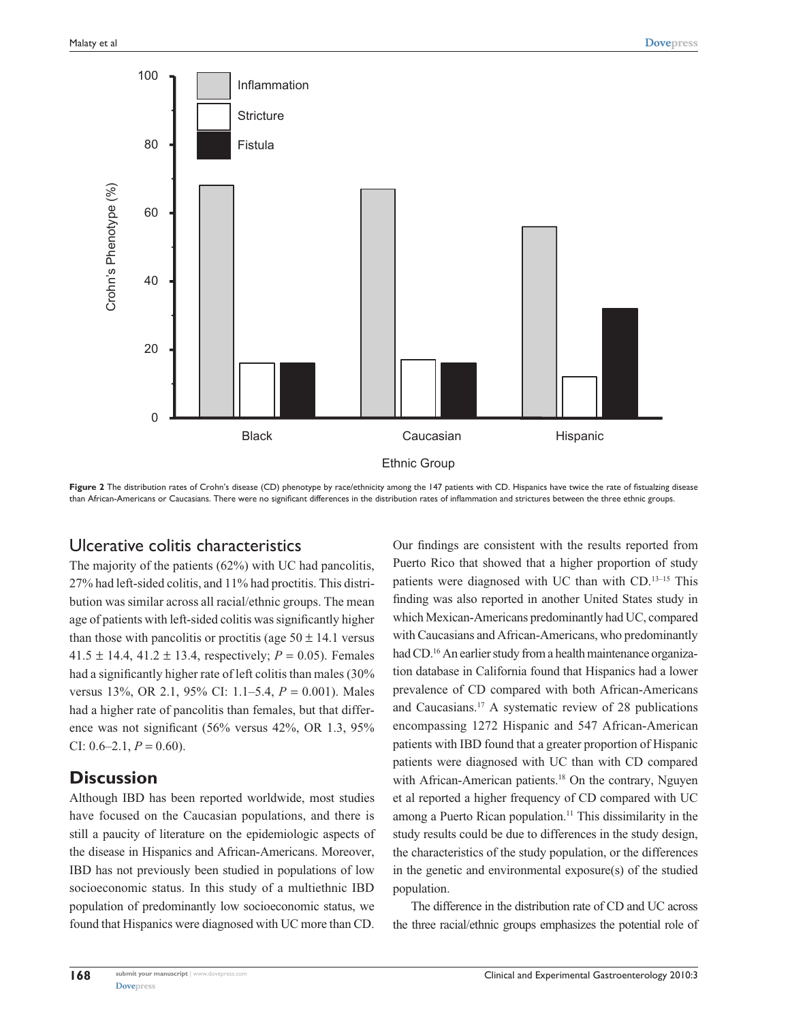

**Figure 2** The distribution rates of Crohn's disease (CD) phenotype by race/ethnicity among the 147 patients with CD. Hispanics have twice the rate of fistualzing disease than African-Americans or Caucasians. There were no significant differences in the distribution rates of inflammation and strictures between the three ethnic groups.

## Ulcerative colitis characteristics

The majority of the patients (62%) with UC had pancolitis, 27% had left-sided colitis, and 11% had proctitis. This distribution was similar across all racial/ethnic groups. The mean age of patients with left-sided colitis was significantly higher than those with pancolitis or proctitis (age  $50 \pm 14.1$  versus 41.5  $\pm$  14.4, 41.2  $\pm$  13.4, respectively; *P* = 0.05). Females had a significantly higher rate of left colitis than males (30%) versus 13%, OR 2.1, 95% CI: 1.1–5.4, *P* = 0.001). Males had a higher rate of pancolitis than females, but that difference was not significant (56% versus 42%, OR 1.3, 95% CI:  $0.6-2.1$ ,  $P = 0.60$ ).

## **Discussion**

Although IBD has been reported worldwide, most studies have focused on the Caucasian populations, and there is still a paucity of literature on the epidemiologic aspects of the disease in Hispanics and African-Americans. Moreover, IBD has not previously been studied in populations of low socioeconomic status. In this study of a multiethnic IBD population of predominantly low socioeconomic status, we found that Hispanics were diagnosed with UC more than CD.

Our findings are consistent with the results reported from Puerto Rico that showed that a higher proportion of study patients were diagnosed with UC than with CD.13–15 This finding was also reported in another United States study in which Mexican-Americans predominantly had UC, compared with Caucasians and African-Americans, who predominantly had CD.<sup>16</sup> An earlier study from a health maintenance organization database in California found that Hispanics had a lower prevalence of CD compared with both African-Americans and Caucasians.17 A systematic review of 28 publications encompassing 1272 Hispanic and 547 African-American patients with IBD found that a greater proportion of Hispanic patients were diagnosed with UC than with CD compared with African-American patients.<sup>18</sup> On the contrary, Nguyen et al reported a higher frequency of CD compared with UC among a Puerto Rican population.<sup>11</sup> This dissimilarity in the study results could be due to differences in the study design, the characteristics of the study population, or the differences in the genetic and environmental exposure(s) of the studied population.

The difference in the distribution rate of CD and UC across the three racial/ethnic groups emphasizes the potential role of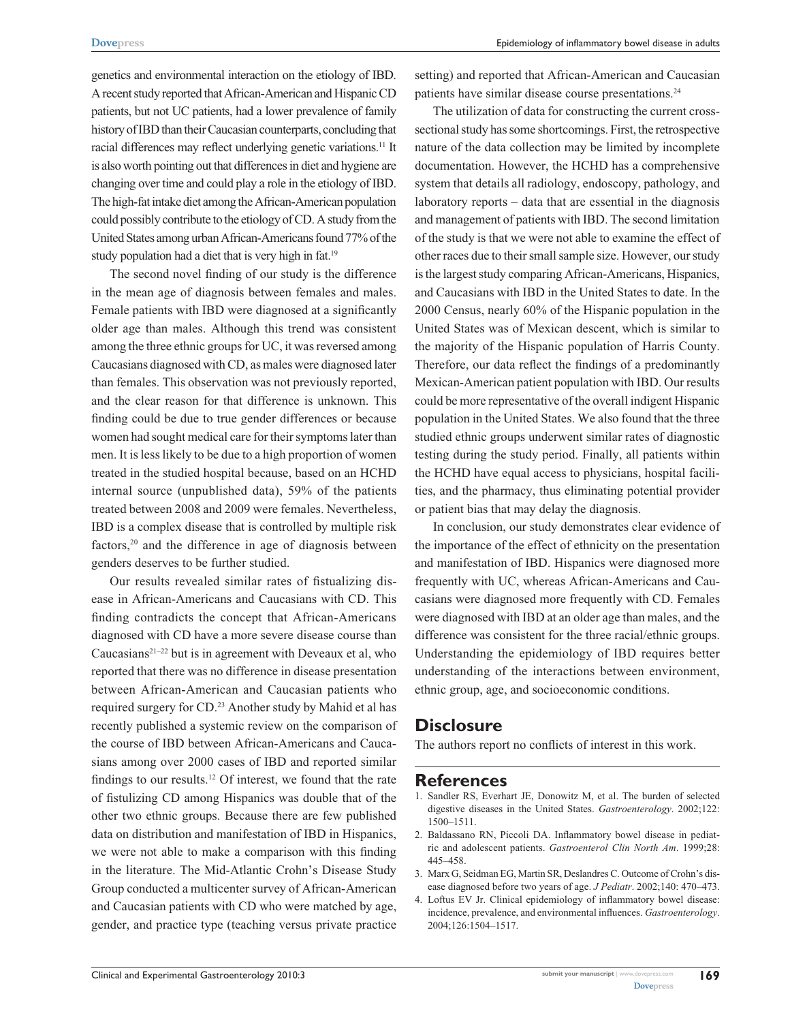genetics and environmental interaction on the etiology of IBD. A recent study reported that African-American and Hispanic CD patients, but not UC patients, had a lower prevalence of family history of IBD than their Caucasian counterparts, concluding that racial differences may reflect underlying genetic variations.<sup>11</sup> It is also worth pointing out that differences in diet and hygiene are changing over time and could play a role in the etiology of IBD. The high-fat intake diet among the African-American population could possibly contribute to the etiology of CD. A study from the United States among urban African-Americans found 77% of the study population had a diet that is very high in fat.<sup>19</sup>

The second novel finding of our study is the difference in the mean age of diagnosis between females and males. Female patients with IBD were diagnosed at a significantly older age than males. Although this trend was consistent among the three ethnic groups for UC, it was reversed among Caucasians diagnosed with CD, as males were diagnosed later than females. This observation was not previously reported, and the clear reason for that difference is unknown. This finding could be due to true gender differences or because women had sought medical care for their symptoms later than men. It is less likely to be due to a high proportion of women treated in the studied hospital because, based on an HCHD internal source (unpublished data), 59% of the patients treated between 2008 and 2009 were females. Nevertheless, IBD is a complex disease that is controlled by multiple risk factors,20 and the difference in age of diagnosis between genders deserves to be further studied.

Our results revealed similar rates of fistualizing disease in African-Americans and Caucasians with CD. This finding contradicts the concept that African-Americans diagnosed with CD have a more severe disease course than Caucasians $2^{1-22}$  but is in agreement with Deveaux et al, who reported that there was no difference in disease presentation between African-American and Caucasian patients who required surgery for CD.23 Another study by Mahid et al has recently published a systemic review on the comparison of the course of IBD between African-Americans and Caucasians among over 2000 cases of IBD and reported similar findings to our results.12 Of interest, we found that the rate of fistulizing CD among Hispanics was double that of the other two ethnic groups. Because there are few published data on distribution and manifestation of IBD in Hispanics, we were not able to make a comparison with this finding in the literature. The Mid-Atlantic Crohn's Disease Study Group conducted a multicenter survey of African-American and Caucasian patients with CD who were matched by age, gender, and practice type (teaching versus private practice

setting) and reported that African-American and Caucasian patients have similar disease course presentations.<sup>24</sup>

The utilization of data for constructing the current crosssectional study has some shortcomings. First, the retrospective nature of the data collection may be limited by incomplete documentation. However, the HCHD has a comprehensive system that details all radiology, endoscopy, pathology, and laboratory reports – data that are essential in the diagnosis and management of patients with IBD. The second limitation of the study is that we were not able to examine the effect of other races due to their small sample size. However, our study is the largest study comparing African-Americans, Hispanics, and Caucasians with IBD in the United States to date. In the 2000 Census, nearly 60% of the Hispanic population in the United States was of Mexican descent, which is similar to the majority of the Hispanic population of Harris County. Therefore, our data reflect the findings of a predominantly Mexican-American patient population with IBD. Our results could be more representative of the overall indigent Hispanic population in the United States. We also found that the three studied ethnic groups underwent similar rates of diagnostic testing during the study period. Finally, all patients within the HCHD have equal access to physicians, hospital facilities, and the pharmacy, thus eliminating potential provider or patient bias that may delay the diagnosis.

In conclusion, our study demonstrates clear evidence of the importance of the effect of ethnicity on the presentation and manifestation of IBD. Hispanics were diagnosed more frequently with UC, whereas African-Americans and Caucasians were diagnosed more frequently with CD. Females were diagnosed with IBD at an older age than males, and the difference was consistent for the three racial/ethnic groups. Understanding the epidemiology of IBD requires better understanding of the interactions between environment, ethnic group, age, and socioeconomic conditions.

## **Disclosure**

The authors report no conflicts of interest in this work.

#### **References**

- 1. Sandler RS, Everhart JE, Donowitz M, et al. The burden of selected digestive diseases in the United States. *Gastroenterology*. 2002;122: 1500–1511.
- 2. Baldassano RN, Piccoli DA. Inflammatory bowel disease in pediatric and adolescent patients. *Gastroenterol Clin North Am*. 1999;28: 445–458.
- 3. Marx G, Seidman EG, Martin SR, Deslandres C. Outcome of Crohn's disease diagnosed before two years of age. *J Pediatr*. 2002;140: 470–473.
- 4. Loftus EV Jr. Clinical epidemiology of inflammatory bowel disease: incidence, prevalence, and environmental influences. *Gastroenterology*. 2004;126:1504–1517.